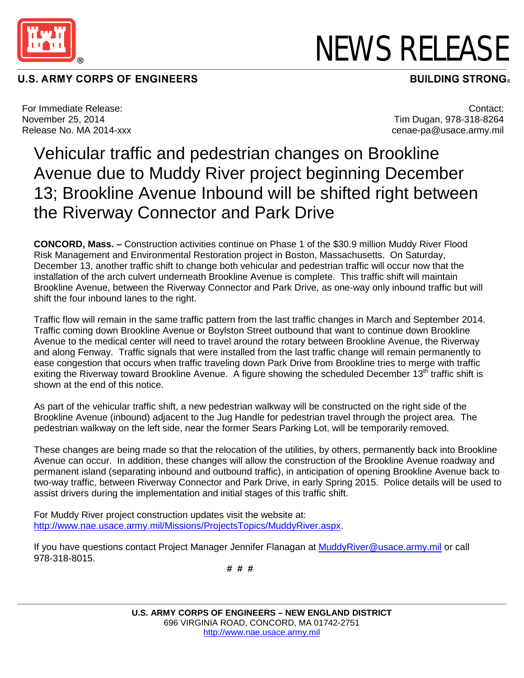

## **U.S. ARMY CORPS OF ENGINEERS**

NEWS RELEASE

**BUILDING STRONG®** 

For Immediate Release: November 25, 2014 Release No. MA 2014-xxx

Contact: Tim Dugan, 978-318-8264 cenae-pa@usace.army.mil

## Vehicular traffic and pedestrian changes on Brookline Avenue due to Muddy River project beginning December 13; Brookline Avenue Inbound will be shifted right between the Riverway Connector and Park Drive

**CONCORD, Mass. –** Construction activities continue on Phase 1 of the \$30.9 million Muddy River Flood Risk Management and Environmental Restoration project in Boston, Massachusetts. On Saturday, December 13, another traffic shift to change both vehicular and pedestrian traffic will occur now that the installation of the arch culvert underneath Brookline Avenue is complete. This traffic shift will maintain Brookline Avenue, between the Riverway Connector and Park Drive, as one-way only inbound traffic but will shift the four inbound lanes to the right.

Traffic flow will remain in the same traffic pattern from the last traffic changes in March and September 2014. Traffic coming down Brookline Avenue or Boylston Street outbound that want to continue down Brookline Avenue to the medical center will need to travel around the rotary between Brookline Avenue, the Riverway and along Fenway. Traffic signals that were installed from the last traffic change will remain permanently to ease congestion that occurs when traffic traveling down Park Drive from Brookline tries to merge with traffic exiting the Riverway toward Brookline Avenue. A figure showing the scheduled December 13<sup>th</sup> traffic shift is shown at the end of this notice.

As part of the vehicular traffic shift, a new pedestrian walkway will be constructed on the right side of the Brookline Avenue (inbound) adjacent to the Jug Handle for pedestrian travel through the project area. The pedestrian walkway on the left side, near the former Sears Parking Lot, will be temporarily removed.

These changes are being made so that the relocation of the utilities, by others, permanently back into Brookline Avenue can occur. In addition, these changes will allow the construction of the Brookline Avenue roadway and permanent island (separating inbound and outbound traffic), in anticipation of opening Brookline Avenue back to two-way traffic, between Riverway Connector and Park Drive, in early Spring 2015. Police details will be used to assist drivers during the implementation and initial stages of this traffic shift.

For Muddy River project construction updates visit the website at: [http://www.nae.usace.army.mil/Missions/ProjectsTopics/MuddyRiver.aspx.](http://www.nae.usace.army.mil/Missions/ProjectsTopics/MuddyRiver.aspx)

If you have questions contact Project Manager Jennifer Flanagan at [MuddyRiver@usace.army.mil](mailto:MuddyRiver@usace.army.mil) or call 978-318-8015.

 **# # #**